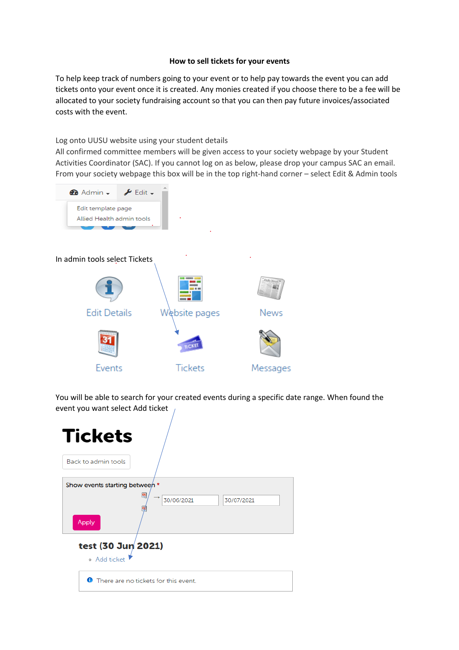## **How to sell tickets for your events**

To help keep track of numbers going to your event or to help pay towards the event you can add tickets onto your event once it is created. Any monies created if you choose there to be a fee will be allocated to your society fundraising account so that you can then pay future invoices/associated costs with the event.

## Log onto UUSU website using your student details

All confirmed committee members will be given access to your society webpage by your Student Activities Coordinator (SAC). If you cannot log on as below, please drop your campus SAC an email. From your society webpage this box will be in the top right-hand corner – select Edit & Admin tools



You will be able to search for your created events during a specific date range. When found the event you want select Add ticket

| <b>Tickets</b>                            |  |  |  |
|-------------------------------------------|--|--|--|
| Back to admin tools                       |  |  |  |
| Show events starting between *            |  |  |  |
| Œ<br>30/06/2021<br>30/07/2021<br>Apply    |  |  |  |
| test (30 Jun 2021)<br>o Add ticket        |  |  |  |
| There are no tickets for this event.<br>⊕ |  |  |  |